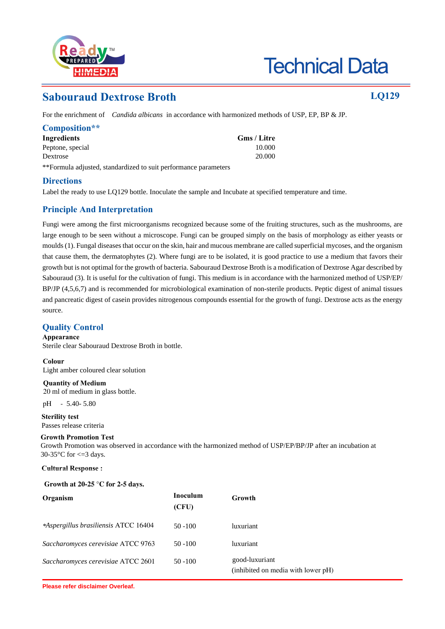

# **Technical Data**

## **Sabouraud Dextrose Broth LQ129**

For the enrichment of *Candida albicans* in accordance with harmonized methods of USP, EP, BP & JP.

| Composition**    |             |
|------------------|-------------|
| Ingredients      | Gms / Litre |
| Peptone, special | 10.000      |
| Dextrose         | 20.000      |

\*\*Formula adjusted, standardized to suit performance parameters

#### **Directions**

Label the ready to use LQ129 bottle. Inoculate the sample and Incubate at specified temperature and time.

### **Principle And Interpretation**

Fungi were among the first microorganisms recognized because some of the fruiting structures, such as the mushrooms, are large enough to be seen without a microscope. Fungi can be grouped simply on the basis of morphology as either yeasts or moulds (1). Fungal diseases that occur on the skin, hair and mucous membrane are called superficial mycoses, and the organism that cause them, the dermatophytes (2). Where fungi are to be isolated, it is good practice to use a medium that favors their growth but is not optimal for the growth of bacteria. Sabouraud Dextrose Broth is a modification of Dextrose Agar described by Sabouraud (3). It is useful for the cultivation of fungi. This medium is in accordance with the harmonized method of USP/EP/ BP/JP (4,5,6,7) and is recommended for microbiological examination of non-sterile products. Peptic digest of animal tissues and pancreatic digest of casein provides nitrogenous compounds essential for the growth of fungi. Dextrose acts as the energy source.

#### **Quality Control**

**Appearance** Sterile clear Sabouraud Dextrose Broth in bottle.

**Colour** Light amber coloured clear solution

**Quantity of Medium** 20 ml of medium in glass bottle.

pH - 5.40- 5.80

**Sterility test** Passes release criteria

#### **Growth Promotion Test**

Growth Promotion was observed in accordance with the harmonized method of USP/EP/BP/JP after an incubation at 30-35 $\degree$ C for  $\lt$  =3 days.

**Cultural Response :**

#### **Growth at 20-25 °C for 2-5 days.**

| Organism                             | Inoculum<br>(CFU) | Growth                                               |
|--------------------------------------|-------------------|------------------------------------------------------|
| *Aspergillus brasiliensis ATCC 16404 | $50 - 100$        | luxuriant                                            |
| Saccharomyces cerevisiae ATCC 9763   | $50 - 100$        | luxuriant                                            |
| Saccharomyces cerevisiae ATCC 2601   | $50 - 100$        | good-luxuriant<br>(inhibited on media with lower pH) |